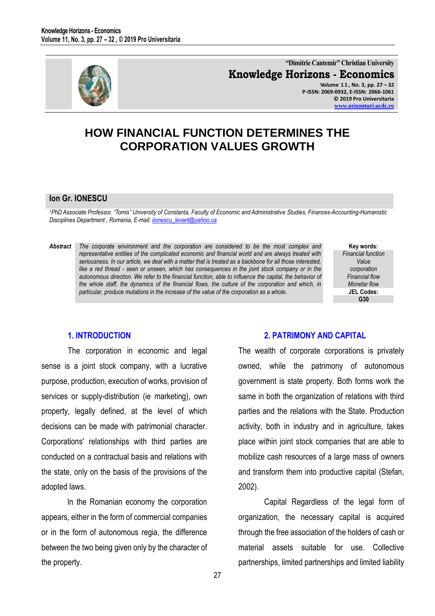

**"Dimitrie Cantemir" Christian University Knowledge Horizons - Economics Volume 1 1 , No. 3, pp. 27 – 32 P-ISSN: 2069-0932, E-ISSN: 2066-1061 © 2019 Pro Universitaria [www.orizonturi.ucdc.ro](http://www.orizonturi.ucdc.ro/)**

# **HOW FINANCIAL FUNCTION DETERMINES THE CORPORATION VALUES GROWTH**

#### **Ion Gr. IONESCU**

*<sup>1</sup>PhD Associate Professor, "Tomis" University of Constanta, Faculty of Economic and Administrative Studies, Finances-Accounting-Humanistic Disciplines Department , Romania, E-mail[: iionescu\\_levant@yahoo.ca](mailto:iionescu_levant@yahoo.ca)* 

#### *Abstract The corporate environment and the corporation are considered to be the most complex and representative entities of the complicated economic and financial world and are always treated with seriousness. In our article, we deal with a matter that is treated as a backbone for all those interested, like a red thread - seen or unseen, which has consequences in the joint stock company or in the autonomous direction. We refer to the financial function, able to influence the capital, the behavior of the whole staff, the dynamics of the financial flows, the culture of the corporation and which, in particular, produce mutations in the increase of the value of the corporation as a whole.*

**Key words:** *Financial function Value corporation Financial flow Monetar flow* **JEL Codes: G30**

# **1. INTRODUCTION**

The corporation in economic and legal sense is a joint stock company, with a lucrative purpose, production, execution of works, provision of services or supply-distribution (ie marketing), own property, legally defined, at the level of which decisions can be made with patrimonial character. Corporations' relationships with third parties are conducted on a contractual basis and relations with the state, only on the basis of the provisions of the adopted laws.

In the Romanian economy the corporation appears, either in the form of commercial companies or in the form of autonomous regia, the difference between the two being given only by the character of the property.

#### **2. PATRIMONY AND CAPITAL**

The wealth of corporate corporations is privately owned, while the patrimony of autonomous government is state property. Both forms work the same in both the organization of relations with third parties and the relations with the State. Production activity, both in industry and in agriculture, takes place within joint stock companies that are able to mobilize cash resources of a large mass of owners and transform them into productive capital (Stefan, 2002).

Capital Regardless of the legal form of organization, the necessary capital is acquired through the free association of the holders of cash or material assets suitable for use. Collective partnerships, limited partnerships and limited liability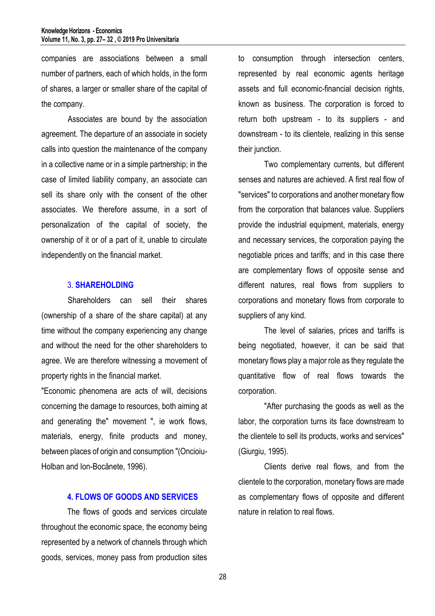companies are associations between a small number of partners, each of which holds, in the form of shares, a larger or smaller share of the capital of the company.

 Associates are bound by the association agreement. The departure of an associate in society calls into question the maintenance of the company in a collective name or in a simple partnership; in the case of limited liability company, an associate can sell its share only with the consent of the other associates. We therefore assume, in a sort of personalization of the capital of society, the ownership of it or of a part of it, unable to circulate independently on the financial market.

### 3. **SHAREHOLDING**

Shareholders can sell their shares (ownership of a share of the share capital) at any time without the company experiencing any change and without the need for the other shareholders to agree. We are therefore witnessing a movement of property rights in the financial market.

"Economic phenomena are acts of will, decisions concerning the damage to resources, both aiming at and generating the" movement ", ie work flows, materials, energy, finite products and money, between places of origin and consumption "(Oncioiu-Holban and Ion-Bocănete, 1996).

### **4. FLOWS OF GOODS AND SERVICES**

The flows of goods and services circulate throughout the economic space, the economy being represented by a network of channels through which goods, services, money pass from production sites to consumption through intersection centers, represented by real economic agents heritage assets and full economic-financial decision rights, known as business. The corporation is forced to return both upstream - to its suppliers - and downstream - to its clientele, realizing in this sense their junction.

Two complementary currents, but different senses and natures are achieved. A first real flow of "services" to corporations and another monetary flow from the corporation that balances value. Suppliers provide the industrial equipment, materials, energy and necessary services, the corporation paying the negotiable prices and tariffs; and in this case there are complementary flows of opposite sense and different natures, real flows from suppliers to corporations and monetary flows from corporate to suppliers of any kind.

The level of salaries, prices and tariffs is being negotiated, however, it can be said that monetary flows play a major role as they regulate the quantitative flow of real flows towards the corporation.

"After purchasing the goods as well as the labor, the corporation turns its face downstream to the clientele to sell its products, works and services" (Giurgiu, 1995).

Clients derive real flows, and from the clientele to the corporation, monetary flows are made as complementary flows of opposite and different nature in relation to real flows.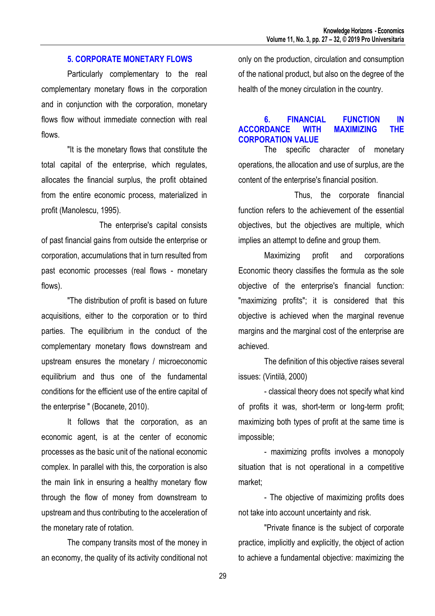### **5. CORPORATE MONETARY FLOWS**

Particularly complementary to the real complementary monetary flows in the corporation and in conjunction with the corporation, monetary flows flow without immediate connection with real flows.

"It is the monetary flows that constitute the total capital of the enterprise, which regulates, allocates the financial surplus, the profit obtained from the entire economic process, materialized in profit (Manolescu, 1995).

 The enterprise's capital consists of past financial gains from outside the enterprise or corporation, accumulations that in turn resulted from past economic processes (real flows - monetary flows).

"The distribution of profit is based on future acquisitions, either to the corporation or to third parties. The equilibrium in the conduct of the complementary monetary flows downstream and upstream ensures the monetary / microeconomic equilibrium and thus one of the fundamental conditions for the efficient use of the entire capital of the enterprise " (Bocanete, 2010).

It follows that the corporation, as an economic agent, is at the center of economic processes as the basic unit of the national economic complex. In parallel with this, the corporation is also the main link in ensuring a healthy monetary flow through the flow of money from downstream to upstream and thus contributing to the acceleration of the monetary rate of rotation.

The company transits most of the money in an economy, the quality of its activity conditional not only on the production, circulation and consumption of the national product, but also on the degree of the health of the money circulation in the country.

# **6. FINANCIAL FUNCTION IN ACCORDANCE WITH MAXIMIZING THE CORPORATION VALUE**

The specific character of monetary operations, the allocation and use of surplus, are the content of the enterprise's financial position.

 Thus, the corporate financial function refers to the achievement of the essential objectives, but the objectives are multiple, which implies an attempt to define and group them.

Maximizing profit and corporations Economic theory classifies the formula as the sole objective of the enterprise's financial function: "maximizing profits"; it is considered that this objective is achieved when the marginal revenue margins and the marginal cost of the enterprise are achieved.

The definition of this objective raises several issues: (Vintilă, 2000)

- classical theory does not specify what kind of profits it was, short-term or long-term profit; maximizing both types of profit at the same time is impossible;

- maximizing profits involves a monopoly situation that is not operational in a competitive market;

- The objective of maximizing profits does not take into account uncertainty and risk.

"Private finance is the subject of corporate practice, implicitly and explicitly, the object of action to achieve a fundamental objective: maximizing the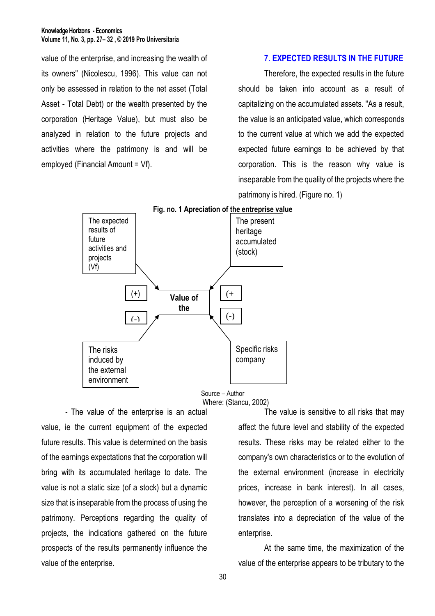value of the enterprise, and increasing the wealth of its owners" (Nicolescu, 1996). This value can not only be assessed in relation to the net asset (Total Asset - Total Debt) or the wealth presented by the corporation (Heritage Value), but must also be analyzed in relation to the future projects and activities where the patrimony is and will be employed (Financial Amount = Vf).

#### **7. EXPECTED RESULTS IN THE FUTURE**

Therefore, the expected results in the future should be taken into account as a result of capitalizing on the accumulated assets. "As a result, the value is an anticipated value, which corresponds to the current value at which we add the expected expected future earnings to be achieved by that corporation. This is the reason why value is inseparable from the quality of the projects where the patrimony is hired. (Figure no. 1)



**Fig. no. 1 Apreciation of the entreprise value**

Source – Author Where: (Stancu, 2002)

 - The value of the enterprise is an actual value, ie the current equipment of the expected future results. This value is determined on the basis of the earnings expectations that the corporation will bring with its accumulated heritage to date. The value is not a static size (of a stock) but a dynamic size that is inseparable from the process of using the patrimony. Perceptions regarding the quality of projects, the indications gathered on the future prospects of the results permanently influence the value of the enterprise.

 The value is sensitive to all risks that may affect the future level and stability of the expected results. These risks may be related either to the company's own characteristics or to the evolution of the external environment (increase in electricity prices, increase in bank interest). In all cases, however, the perception of a worsening of the risk translates into a depreciation of the value of the enterprise.

At the same time, the maximization of the value of the enterprise appears to be tributary to the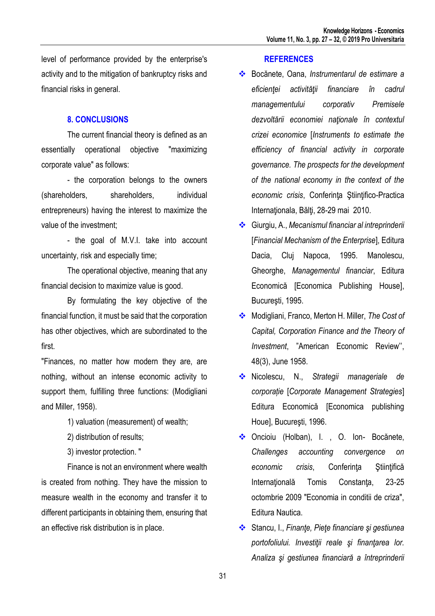level of performance provided by the enterprise's activity and to the mitigation of bankruptcy risks and financial risks in general.

# **8. CONCLUSIONS**

The current financial theory is defined as an essentially operational objective "maximizing corporate value" as follows:

- the corporation belongs to the owners (shareholders, shareholders, individual entrepreneurs) having the interest to maximize the value of the investment;

- the goal of M.V.I. take into account uncertainty, risk and especially time;

The operational objective, meaning that any financial decision to maximize value is good.

By formulating the key objective of the financial function, it must be said that the corporation has other objectives, which are subordinated to the first.

"Finances, no matter how modern they are, are nothing, without an intense economic activity to support them, fulfilling three functions: (Modigliani and Miller, 1958).

1) valuation (measurement) of wealth;

2) distribution of results;

3) investor protection. "

Finance is not an environment where wealth is created from nothing. They have the mission to measure wealth in the economy and transfer it to different participants in obtaining them, ensuring that an effective risk distribution is in place.

#### **REFERENCES**

- Bocănete, Oana, *Instrumentarul de estimare a eficienţei activităţii financiare în cadrul managementului corporativ Premisele dezvoltării economiei naţionale în contextul crizei economice* [*Instruments to estimate the efficiency of financial activity in corporate governance. The prospects for the development of the national economy in the context of the economic crisis*, Conferinţa Ştiinţifico-Practica Internaţionala, Bălţi, 28-29 mai 2010.
- Giurgiu, A., *Mecanismul financiar al intreprinderii* [*Financial Mechanism of the Enterprise*], Editura Dacia, Cluj Napoca, 1995. Manolescu, Gheorghe, *Managementul financiar*, Editura Economică [Economica Publishing House], Bucureşti, 1995.
- Modigliani, Franco, Merton H. Miller, *The Cost of Capital, Corporation Finance and the Theory of Investment*, "American Economic Review'', 48(3), June 1958.
- Nicolescu, N., *Strategii manageriale de corporație* [*Corporate Management Strategies*] Editura Economică [Economica publishing Houe], Bucureşti, 1996.
- ◆ Oncioiu (Holban), I., O. Ion- Bocănete, *Challenges accounting convergence on economic crisis*, Conferinţa Ştiinţifică Internaţională Tomis Constanţa, 23-25 octombrie 2009 "Economia in conditii de criza", Editura Nautica.
- Stancu, I., *Finanţe, Pieţe financiare şi gestiunea portofoliului. Investiţii reale şi finanţarea lor. Analiza şi gestiunea financiară a întreprinderii*